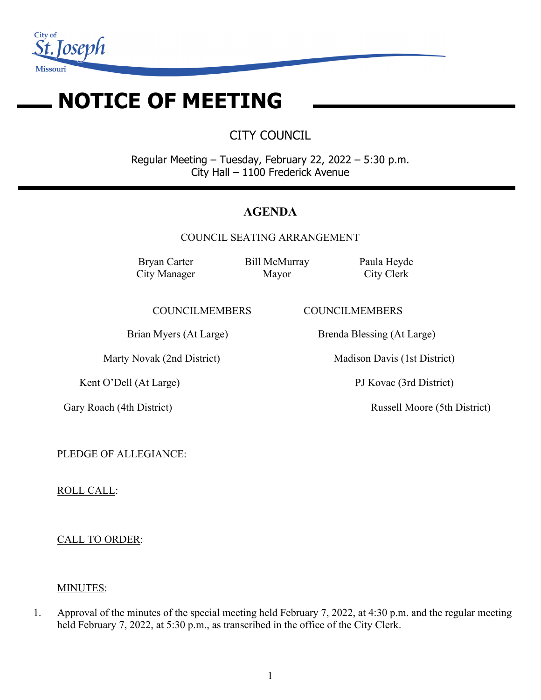

# **NOTICE OF MEETING**

CITY COUNCIL

Regular Meeting – Tuesday, February 22, 2022 – 5:30 p.m. City Hall – 1100 Frederick Avenue

## **AGENDA**

COUNCIL SEATING ARRANGEMENT

 $\_$  , and the set of the set of the set of the set of the set of the set of the set of the set of the set of the set of the set of the set of the set of the set of the set of the set of the set of the set of the set of th

Bryan Carter City Manager Bill McMurray Mayor

Paula Heyde City Clerk

COUNCILMEMBERS COUNCILMEMBERS

Kent O'Dell (At Large) PJ Kovac (3rd District)

Brian Myers (At Large) Brenda Blessing (At Large)

Marty Novak (2nd District) Madison Davis (1st District)

Gary Roach (4th District) Russell Moore (5th District)

PLEDGE OF ALLEGIANCE:

ROLL CALL:

CALL TO ORDER:

## MINUTES:

1. Approval of the minutes of the special meeting held February 7, 2022, at 4:30 p.m. and the regular meeting held February 7, 2022, at 5:30 p.m., as transcribed in the office of the City Clerk.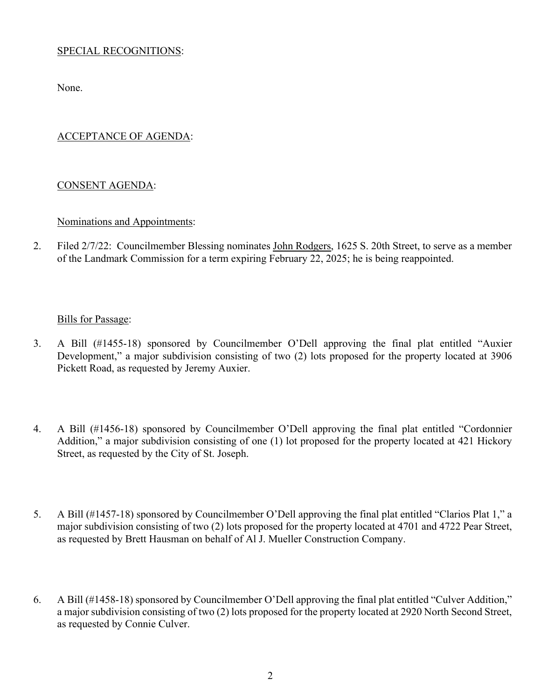## SPECIAL RECOGNITIONS:

None.

## ACCEPTANCE OF AGENDA:

#### CONSENT AGENDA:

#### Nominations and Appointments:

2. Filed 2/7/22: Councilmember Blessing nominates John Rodgers, 1625 S. 20th Street, to serve as a member of the Landmark Commission for a term expiring February 22, 2025; he is being reappointed.

#### Bills for Passage:

- 3. A Bill (#1455-18) sponsored by Councilmember O'Dell approving the final plat entitled "Auxier Development," a major subdivision consisting of two (2) lots proposed for the property located at 3906 Pickett Road, as requested by Jeremy Auxier.
- 4. A Bill (#1456-18) sponsored by Councilmember O'Dell approving the final plat entitled "Cordonnier Addition," a major subdivision consisting of one (1) lot proposed for the property located at 421 Hickory Street, as requested by the City of St. Joseph.
- 5. A Bill (#1457-18) sponsored by Councilmember O'Dell approving the final plat entitled "Clarios Plat 1," a major subdivision consisting of two (2) lots proposed for the property located at 4701 and 4722 Pear Street, as requested by Brett Hausman on behalf of Al J. Mueller Construction Company.
- 6. A Bill (#1458-18) sponsored by Councilmember O'Dell approving the final plat entitled "Culver Addition," a major subdivision consisting of two (2) lots proposed for the property located at 2920 North Second Street, as requested by Connie Culver.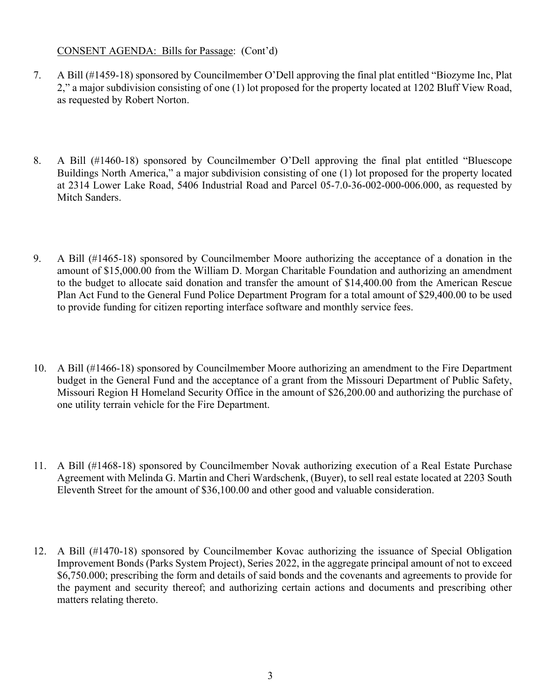#### CONSENT AGENDA: Bills for Passage: (Cont'd)

- 7. A Bill (#1459-18) sponsored by Councilmember O'Dell approving the final plat entitled "Biozyme Inc, Plat 2," a major subdivision consisting of one (1) lot proposed for the property located at 1202 Bluff View Road, as requested by Robert Norton.
- 8. A Bill (#1460-18) sponsored by Councilmember O'Dell approving the final plat entitled "Bluescope Buildings North America," a major subdivision consisting of one (1) lot proposed for the property located at 2314 Lower Lake Road, 5406 Industrial Road and Parcel 05-7.0-36-002-000-006.000, as requested by Mitch Sanders.
- 9. A Bill (#1465-18) sponsored by Councilmember Moore authorizing the acceptance of a donation in the amount of \$15,000.00 from the William D. Morgan Charitable Foundation and authorizing an amendment to the budget to allocate said donation and transfer the amount of \$14,400.00 from the American Rescue Plan Act Fund to the General Fund Police Department Program for a total amount of \$29,400.00 to be used to provide funding for citizen reporting interface software and monthly service fees.
- 10. A Bill (#1466-18) sponsored by Councilmember Moore authorizing an amendment to the Fire Department budget in the General Fund and the acceptance of a grant from the Missouri Department of Public Safety, Missouri Region H Homeland Security Office in the amount of \$26,200.00 and authorizing the purchase of one utility terrain vehicle for the Fire Department.
- 11. A Bill (#1468-18) sponsored by Councilmember Novak authorizing execution of a Real Estate Purchase Agreement with Melinda G. Martin and Cheri Wardschenk, (Buyer), to sell real estate located at 2203 South Eleventh Street for the amount of \$36,100.00 and other good and valuable consideration.
- 12. A Bill (#1470-18) sponsored by Councilmember Kovac authorizing the issuance of Special Obligation Improvement Bonds (Parks System Project), Series 2022, in the aggregate principal amount of not to exceed \$6,750.000; prescribing the form and details of said bonds and the covenants and agreements to provide for the payment and security thereof; and authorizing certain actions and documents and prescribing other matters relating thereto.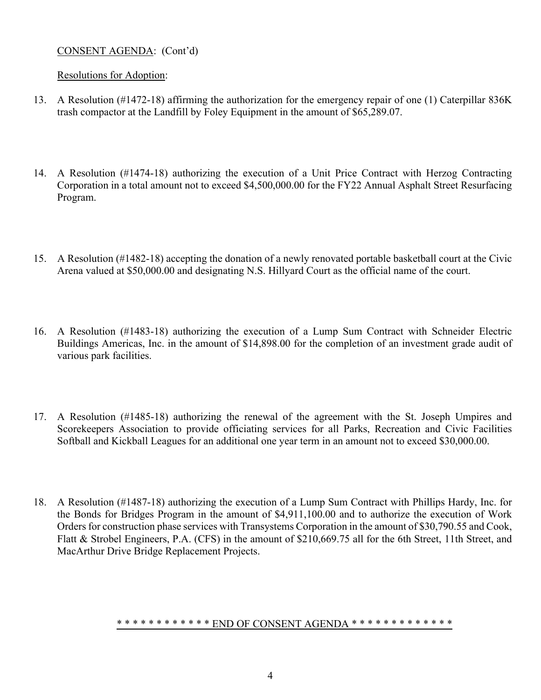## CONSENT AGENDA: (Cont'd)

#### Resolutions for Adoption:

- 13. A Resolution (#1472-18) affirming the authorization for the emergency repair of one (1) Caterpillar 836K trash compactor at the Landfill by Foley Equipment in the amount of \$65,289.07.
- 14. A Resolution (#1474-18) authorizing the execution of a Unit Price Contract with Herzog Contracting Corporation in a total amount not to exceed \$4,500,000.00 for the FY22 Annual Asphalt Street Resurfacing Program.
- 15. A Resolution (#1482-18) accepting the donation of a newly renovated portable basketball court at the Civic Arena valued at \$50,000.00 and designating N.S. Hillyard Court as the official name of the court.
- 16. A Resolution (#1483-18) authorizing the execution of a Lump Sum Contract with Schneider Electric Buildings Americas, Inc. in the amount of \$14,898.00 for the completion of an investment grade audit of various park facilities.
- 17. A Resolution (#1485-18) authorizing the renewal of the agreement with the St. Joseph Umpires and Scorekeepers Association to provide officiating services for all Parks, Recreation and Civic Facilities Softball and Kickball Leagues for an additional one year term in an amount not to exceed \$30,000.00.
- 18. A Resolution (#1487-18) authorizing the execution of a Lump Sum Contract with Phillips Hardy, Inc. for the Bonds for Bridges Program in the amount of \$4,911,100.00 and to authorize the execution of Work Orders for construction phase services with Transystems Corporation in the amount of \$30,790.55 and Cook, Flatt & Strobel Engineers, P.A. (CFS) in the amount of \$210,669.75 all for the 6th Street, 11th Street, and MacArthur Drive Bridge Replacement Projects.

#### \* \* \* \* \* \* \* \* \* \* \* \* END OF CONSENT AGENDA \* \* \* \* \* \* \* \* \* \* \* \* \* \* \*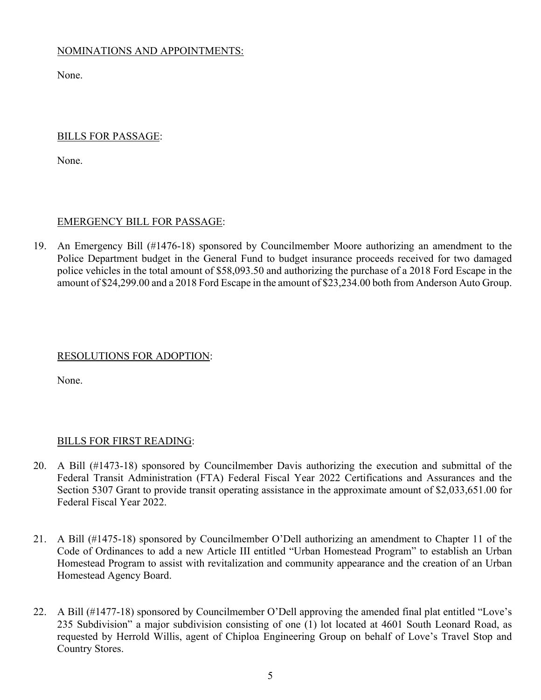## NOMINATIONS AND APPOINTMENTS:

None.

#### BILLS FOR PASSAGE:

None.

## EMERGENCY BILL FOR PASSAGE:

19. An Emergency Bill (#1476-18) sponsored by Councilmember Moore authorizing an amendment to the Police Department budget in the General Fund to budget insurance proceeds received for two damaged police vehicles in the total amount of \$58,093.50 and authorizing the purchase of a 2018 Ford Escape in the amount of \$24,299.00 and a 2018 Ford Escape in the amount of \$23,234.00 both from Anderson Auto Group.

#### RESOLUTIONS FOR ADOPTION:

None.

#### BILLS FOR FIRST READING:

- 20. A Bill (#1473-18) sponsored by Councilmember Davis authorizing the execution and submittal of the Federal Transit Administration (FTA) Federal Fiscal Year 2022 Certifications and Assurances and the Section 5307 Grant to provide transit operating assistance in the approximate amount of \$2,033,651.00 for Federal Fiscal Year 2022.
- 21. A Bill (#1475-18) sponsored by Councilmember O'Dell authorizing an amendment to Chapter 11 of the Code of Ordinances to add a new Article III entitled "Urban Homestead Program" to establish an Urban Homestead Program to assist with revitalization and community appearance and the creation of an Urban Homestead Agency Board.
- 22. A Bill (#1477-18) sponsored by Councilmember O'Dell approving the amended final plat entitled "Love's 235 Subdivision" a major subdivision consisting of one (1) lot located at 4601 South Leonard Road, as requested by Herrold Willis, agent of Chiploa Engineering Group on behalf of Love's Travel Stop and Country Stores.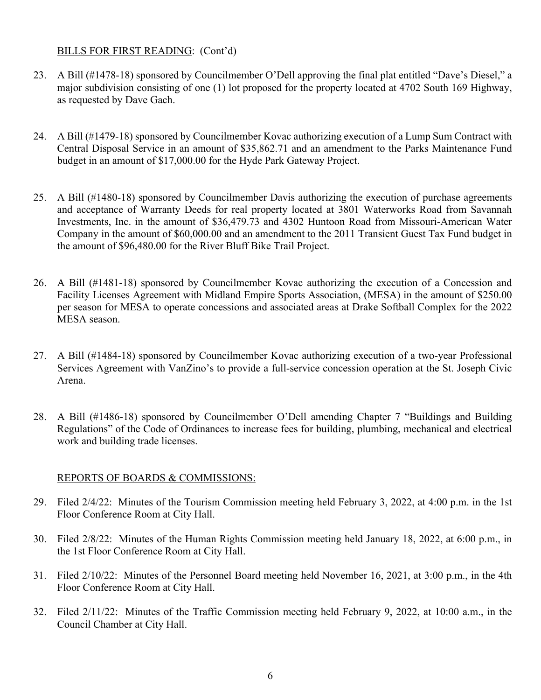#### BILLS FOR FIRST READING: (Cont'd)

- 23. A Bill (#1478-18) sponsored by Councilmember O'Dell approving the final plat entitled "Dave's Diesel," a major subdivision consisting of one (1) lot proposed for the property located at 4702 South 169 Highway, as requested by Dave Gach.
- 24. A Bill (#1479-18) sponsored by Councilmember Kovac authorizing execution of a Lump Sum Contract with Central Disposal Service in an amount of \$35,862.71 and an amendment to the Parks Maintenance Fund budget in an amount of \$17,000.00 for the Hyde Park Gateway Project.
- 25. A Bill (#1480-18) sponsored by Councilmember Davis authorizing the execution of purchase agreements and acceptance of Warranty Deeds for real property located at 3801 Waterworks Road from Savannah Investments, Inc. in the amount of \$36,479.73 and 4302 Huntoon Road from Missouri-American Water Company in the amount of \$60,000.00 and an amendment to the 2011 Transient Guest Tax Fund budget in the amount of \$96,480.00 for the River Bluff Bike Trail Project.
- 26. A Bill (#1481-18) sponsored by Councilmember Kovac authorizing the execution of a Concession and Facility Licenses Agreement with Midland Empire Sports Association, (MESA) in the amount of \$250.00 per season for MESA to operate concessions and associated areas at Drake Softball Complex for the 2022 MESA season.
- 27. A Bill (#1484-18) sponsored by Councilmember Kovac authorizing execution of a two-year Professional Services Agreement with VanZino's to provide a full-service concession operation at the St. Joseph Civic Arena.
- 28. A Bill (#1486-18) sponsored by Councilmember O'Dell amending Chapter 7 "Buildings and Building Regulations" of the Code of Ordinances to increase fees for building, plumbing, mechanical and electrical work and building trade licenses.

#### REPORTS OF BOARDS & COMMISSIONS:

- 29. Filed 2/4/22: Minutes of the Tourism Commission meeting held February 3, 2022, at 4:00 p.m. in the 1st Floor Conference Room at City Hall.
- 30. Filed 2/8/22: Minutes of the Human Rights Commission meeting held January 18, 2022, at 6:00 p.m., in the 1st Floor Conference Room at City Hall.
- 31. Filed 2/10/22: Minutes of the Personnel Board meeting held November 16, 2021, at 3:00 p.m., in the 4th Floor Conference Room at City Hall.
- 32. Filed 2/11/22: Minutes of the Traffic Commission meeting held February 9, 2022, at 10:00 a.m., in the Council Chamber at City Hall.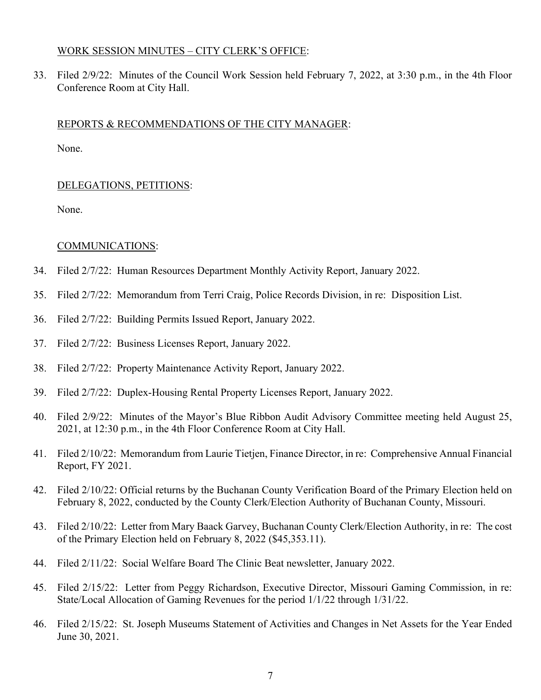#### WORK SESSION MINUTES – CITY CLERK'S OFFICE:

33. Filed 2/9/22: Minutes of the Council Work Session held February 7, 2022, at 3:30 p.m., in the 4th Floor Conference Room at City Hall.

#### REPORTS & RECOMMENDATIONS OF THE CITY MANAGER:

None.

#### DELEGATIONS, PETITIONS:

None.

#### COMMUNICATIONS:

- 34. Filed 2/7/22: Human Resources Department Monthly Activity Report, January 2022.
- 35. Filed 2/7/22: Memorandum from Terri Craig, Police Records Division, in re: Disposition List.
- 36. Filed 2/7/22: Building Permits Issued Report, January 2022.
- 37. Filed 2/7/22: Business Licenses Report, January 2022.
- 38. Filed 2/7/22: Property Maintenance Activity Report, January 2022.
- 39. Filed 2/7/22: Duplex-Housing Rental Property Licenses Report, January 2022.
- 40. Filed 2/9/22: Minutes of the Mayor's Blue Ribbon Audit Advisory Committee meeting held August 25, 2021, at 12:30 p.m., in the 4th Floor Conference Room at City Hall.
- 41. Filed 2/10/22: Memorandum from Laurie Tietjen, Finance Director, in re: Comprehensive Annual Financial Report, FY 2021.
- 42. Filed 2/10/22: Official returns by the Buchanan County Verification Board of the Primary Election held on February 8, 2022, conducted by the County Clerk/Election Authority of Buchanan County, Missouri.
- 43. Filed 2/10/22: Letter from Mary Baack Garvey, Buchanan County Clerk/Election Authority, in re: The cost of the Primary Election held on February 8, 2022 (\$45,353.11).
- 44. Filed 2/11/22: Social Welfare Board The Clinic Beat newsletter, January 2022.
- 45. Filed 2/15/22: Letter from Peggy Richardson, Executive Director, Missouri Gaming Commission, in re: State/Local Allocation of Gaming Revenues for the period 1/1/22 through 1/31/22.
- 46. Filed 2/15/22: St. Joseph Museums Statement of Activities and Changes in Net Assets for the Year Ended June 30, 2021.